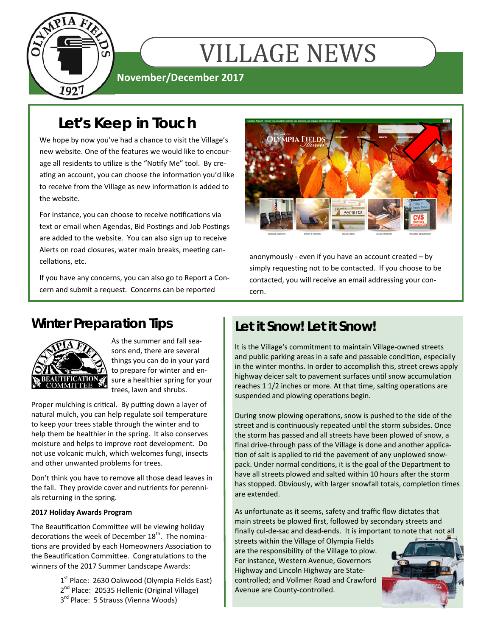

# **VILLAGE NEWS**

### **November/December 2017**

## **Let's Keep in Touch**

We hope by now you've had a chance to visit the Village's new website. One of the features we would like to encourage all residents to utilize is the "Notify Me" tool. By creating an account, you can choose the information you'd like to receive from the Village as new information is added to the website.

For instance, you can choose to receive notifications via text or email when Agendas, Bid Postings and Job Postings are added to the website. You can also sign up to receive Alerts on road closures, water main breaks, meeting cancellations, etc.

If you have any concerns, you can also go to Report a Concern and submit a request. Concerns can be reported



anonymously - even if you have an account created – by simply requesting not to be contacted. If you choose to be contacted, you will receive an email addressing your concern.

## **Winter Preparation Tips**



As the summer and fall seasons end, there are several things you can do in your yard to prepare for winter and ensure a healthier spring for your trees, lawn and shrubs.

Proper mulching is critical. By putting down a layer of natural mulch, you can help regulate soil temperature to keep your trees stable through the winter and to help them be healthier in the spring. It also conserves moisture and helps to improve root development. Do not use volcanic mulch, which welcomes fungi, insects and other unwanted problems for trees.

Don't think you have to remove all those dead leaves in the fall. They provide cover and nutrients for perennials returning in the spring.

#### **2017 Holiday Awards Program**

The Beautification Committee will be viewing holiday decorations the week of December  $18<sup>th</sup>$ . The nominations are provided by each Homeowners Association to the Beautification Committee. Congratulations to the winners of the 2017 Summer Landscape Awards:

> $1<sup>st</sup>$  Place: 2630 Oakwood (Olympia Fields East) 2<sup>nd</sup> Place: 20535 Hellenic (Original Village) 3rd Place: 5 Strauss (Vienna Woods)

## **Let it Snow! Let it Snow!**

It is the Village's commitment to maintain Village-owned streets and public parking areas in a safe and passable condition, especially in the winter months. In order to accomplish this, street crews apply highway deicer salt to pavement surfaces until snow accumulation reaches 1 1/2 inches or more. At that time, salting operations are suspended and plowing operations begin.

During snow plowing operations, snow is pushed to the side of the street and is continuously repeated until the storm subsides. Once the storm has passed and all streets have been plowed of snow, a final drive-through pass of the Village is done and another application of salt is applied to rid the pavement of any unplowed snowpack. Under normal conditions, it is the goal of the Department to have all streets plowed and salted within 10 hours after the storm has stopped. Obviously, with larger snowfall totals, completion times are extended.

As unfortunate as it seems, safety and traffic flow dictates that main streets be plowed first, followed by secondary streets and finally cul-de-sac and dead-ends. It is important to note that not all

streets within the Village of Olympia Fields are the responsibility of the Village to plow. For instance, Western Avenue, Governors Highway and Lincoln Highway are Statecontrolled; and Vollmer Road and Crawford Avenue are County-controlled.